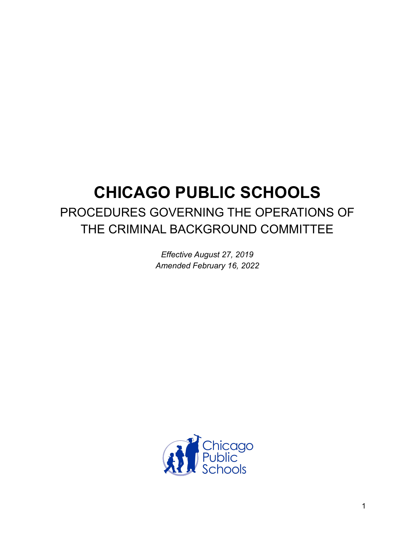# **CHICAGO PUBLIC SCHOOLS** PROCEDURES GOVERNING THE OPERATIONS OF THE CRIMINAL BACKGROUND COMMITTEE

*Effective August 27, 2019 Amended February 16, 2022*

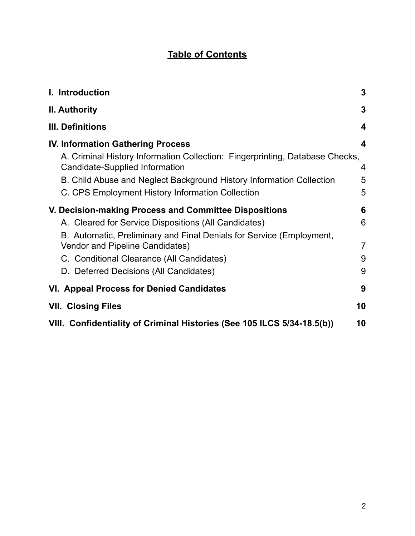# **Table of Contents**

| I. Introduction                                                                                                                                                                                                                                                                                                 | 3                                  |
|-----------------------------------------------------------------------------------------------------------------------------------------------------------------------------------------------------------------------------------------------------------------------------------------------------------------|------------------------------------|
| <b>II. Authority</b>                                                                                                                                                                                                                                                                                            | 3                                  |
| III. Definitions                                                                                                                                                                                                                                                                                                | 4                                  |
| <b>IV. Information Gathering Process</b><br>A. Criminal History Information Collection: Fingerprinting, Database Checks,<br>Candidate-Supplied Information<br>B. Child Abuse and Neglect Background History Information Collection<br>C. CPS Employment History Information Collection                          | 4<br>4<br>5<br>5                   |
| V. Decision-making Process and Committee Dispositions<br>A. Cleared for Service Dispositions (All Candidates)<br>B. Automatic, Preliminary and Final Denials for Service (Employment,<br>Vendor and Pipeline Candidates)<br>C. Conditional Clearance (All Candidates)<br>D. Deferred Decisions (All Candidates) | 6<br>6<br>$\overline{7}$<br>9<br>9 |
| VI. Appeal Process for Denied Candidates                                                                                                                                                                                                                                                                        | 9                                  |
| <b>VII. Closing Files</b>                                                                                                                                                                                                                                                                                       | 10                                 |
| VIII. Confidentiality of Criminal Histories (See 105 ILCS 5/34-18.5(b))                                                                                                                                                                                                                                         | 10                                 |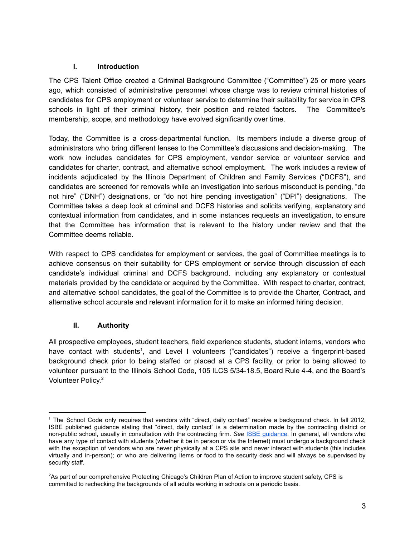#### <span id="page-2-0"></span>**I. Introduction**

The CPS Talent Office created a Criminal Background Committee ("Committee") 25 or more years ago, which consisted of administrative personnel whose charge was to review criminal histories of candidates for CPS employment or volunteer service to determine their suitability for service in CPS schools in light of their criminal history, their position and related factors. The Committee's membership, scope, and methodology have evolved significantly over time.

Today, the Committee is a cross-departmental function. Its members include a diverse group of administrators who bring different lenses to the Committee's discussions and decision-making. The work now includes candidates for CPS employment, vendor service or volunteer service and candidates for charter, contract, and alternative school employment. The work includes a review of incidents adjudicated by the Illinois Department of Children and Family Services ("DCFS"), and candidates are screened for removals while an investigation into serious misconduct is pending, "do not hire" ("DNH") designations, or "do not hire pending investigation" ("DPI") designations. The Committee takes a deep look at criminal and DCFS histories and solicits verifying, explanatory and contextual information from candidates, and in some instances requests an investigation, to ensure that the Committee has information that is relevant to the history under review and that the Committee deems reliable.

With respect to CPS candidates for employment or services, the goal of Committee meetings is to achieve consensus on their suitability for CPS employment or service through discussion of each candidate's individual criminal and DCFS background, including any explanatory or contextual materials provided by the candidate or acquired by the Committee. With respect to charter, contract, and alternative school candidates, the goal of the Committee is to provide the Charter, Contract, and alternative school accurate and relevant information for it to make an informed hiring decision.

# <span id="page-2-1"></span>**II. Authority**

All prospective employees, student teachers, field experience students, student interns, vendors who have contact with students<sup>1</sup>, and Level I volunteers ("candidates") receive a fingerprint-based background check prior to being staffed or placed at a CPS facility, or prior to being allowed to volunteer pursuant to the Illinois School Code, 105 ILCS 5/34-18.5, Board Rule 4-4, and the Board's Volunteer Policy.<sup>2</sup>

<sup>&</sup>lt;sup>1</sup> The School Code only requires that vendors with "direct, daily contact" receive a background check. In fall 2012, ISBE published guidance stating that "direct, daily contact" is a determination made by the contracting district or non-public school, usually in consultation with the contracting firm. *See* ISBE [guidance.](https://www.isbe.net/Documents/guidance_chr.pdf) In general, all vendors who have any type of contact with students (whether it be in person or via the Internet) must undergo a background check with the exception of vendors who are never physically at a CPS site and never interact with students (this includes virtually and in-person); or who are delivering items or food to the security desk and will always be supervised by security staff.

<sup>2</sup>As part of our comprehensive Protecting Chicago's Children Plan of Action to improve student safety, CPS is committed to rechecking the backgrounds of all adults working in schools on a periodic basis.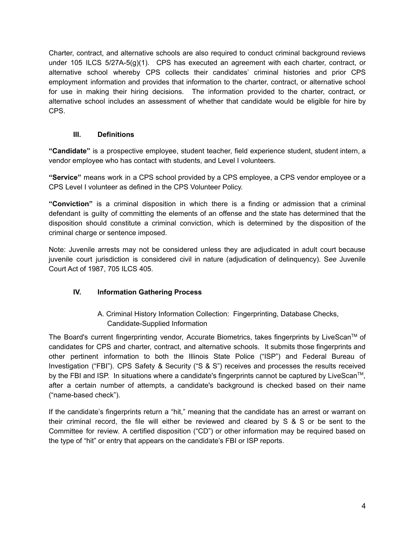Charter, contract, and alternative schools are also required to conduct criminal background reviews under 105 ILCS 5/27A-5(g)(1). CPS has executed an agreement with each charter, contract, or alternative school whereby CPS collects their candidates' criminal histories and prior CPS employment information and provides that information to the charter, contract, or alternative school for use in making their hiring decisions. The information provided to the charter, contract, or alternative school includes an assessment of whether that candidate would be eligible for hire by CPS.

#### **III. Definitions**

<span id="page-3-0"></span>**"Candidate"** is a prospective employee, student teacher, field experience student, student intern, a vendor employee who has contact with students, and Level I volunteers.

**"Service"** means work in a CPS school provided by a CPS employee, a CPS vendor employee or a CPS Level I volunteer as defined in the CPS Volunteer Policy.

**"Conviction"** is a criminal disposition in which there is a finding or admission that a criminal defendant is guilty of committing the elements of an offense and the state has determined that the disposition should constitute a criminal conviction, which is determined by the disposition of the criminal charge or sentence imposed.

Note: Juvenile arrests may not be considered unless they are adjudicated in adult court because juvenile court jurisdiction is considered civil in nature (adjudication of delinquency). S*ee* Juvenile Court Act of 1987, 705 ILCS 405.

# <span id="page-3-1"></span>**IV. Information Gathering Process**

A. Criminal History Information Collection: Fingerprinting, Database Checks, Candidate-Supplied Information

<span id="page-3-2"></span>The Board's current fingerprinting vendor, Accurate Biometrics, takes fingerprints by LiveScan<sup>TM</sup> of candidates for CPS and charter, contract, and alternative schools. It submits those fingerprints and other pertinent information to both the Illinois State Police ("ISP") and Federal Bureau of Investigation ("FBI"). CPS Safety & Security ("S & S") receives and processes the results received by the FBI and ISP. In situations where a candidate's fingerprints cannot be captured by LiveScan<sup>TM</sup>, after a certain number of attempts, a candidate's background is checked based on their name ("name-based check").

If the candidate's fingerprints return a "hit," meaning that the candidate has an arrest or warrant on their criminal record, the file will either be reviewed and cleared by S & S or be sent to the Committee for review. A certified disposition ("CD") or other information may be required based on the type of "hit" or entry that appears on the candidate's FBI or ISP reports.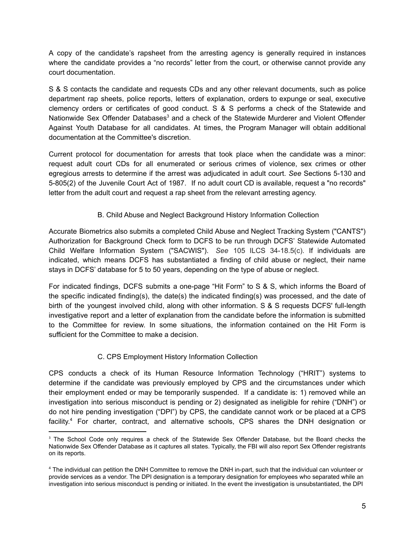A copy of the candidate's rapsheet from the arresting agency is generally required in instances where the candidate provides a "no records" letter from the court, or otherwise cannot provide any court documentation.

S & S contacts the candidate and requests CDs and any other relevant documents, such as police department rap sheets, police reports, letters of explanation, orders to expunge or seal, executive clemency orders or certificates of good conduct. S & S performs a check of the Statewide and Nationwide Sex Offender Databases<sup>3</sup> and a check of the Statewide Murderer and Violent Offender Against Youth Database for all candidates. At times, the Program Manager will obtain additional documentation at the Committee's discretion.

Current protocol for documentation for arrests that took place when the candidate was a minor: request adult court CDs for all enumerated or serious crimes of violence, sex crimes or other egregious arrests to determine if the arrest was adjudicated in adult court. *See* Sections 5-130 and 5-805(2) of the Juvenile Court Act of 1987. If no adult court CD is available, request a "no records" letter from the adult court and request a rap sheet from the relevant arresting agency.

# B. Child Abuse and Neglect Background History Information Collection

<span id="page-4-0"></span>Accurate Biometrics also submits a completed Child Abuse and Neglect Tracking System ("CANTS") Authorization for Background Check form to DCFS to be run through DCFS' Statewide Automated Child Welfare Information System ("SACWIS"). *See* 105 ILCS 34-18.5(c). If individuals are indicated, which means DCFS has substantiated a finding of child abuse or neglect, their name stays in DCFS' database for 5 to 50 years, depending on the type of abuse or neglect.

For indicated findings, DCFS submits a one-page "Hit Form" to S & S, which informs the Board of the specific indicated finding(s), the date(s) the indicated finding(s) was processed, and the date of birth of the youngest involved child, along with other information. S & S requests DCFS' full-length investigative report and a letter of explanation from the candidate before the information is submitted to the Committee for review. In some situations, the information contained on the Hit Form is sufficient for the Committee to make a decision.

# C. CPS Employment History Information Collection

<span id="page-4-1"></span>CPS conducts a check of its Human Resource Information Technology ("HRIT") systems to determine if the candidate was previously employed by CPS and the circumstances under which their employment ended or may be temporarily suspended. If a candidate is: 1) removed while an investigation into serious misconduct is pending or 2) designated as ineligible for rehire ("DNH") or do not hire pending investigation ("DPI") by CPS, the candidate cannot work or be placed at a CPS facility.<sup>4</sup> For charter, contract, and alternative schools, CPS shares the DNH designation or

<sup>&</sup>lt;sup>3</sup> The School Code only requires a check of the Statewide Sex Offender Database, but the Board checks the Nationwide Sex Offender Database as it captures all states. Typically, the FBI will also report Sex Offender registrants on its reports.

<sup>4</sup> The individual can petition the DNH Committee to remove the DNH in-part, such that the individual can volunteer or provide services as a vendor. The DPI designation is a temporary designation for employees who separated while an investigation into serious misconduct is pending or initiated. In the event the investigation is unsubstantiated, the DPI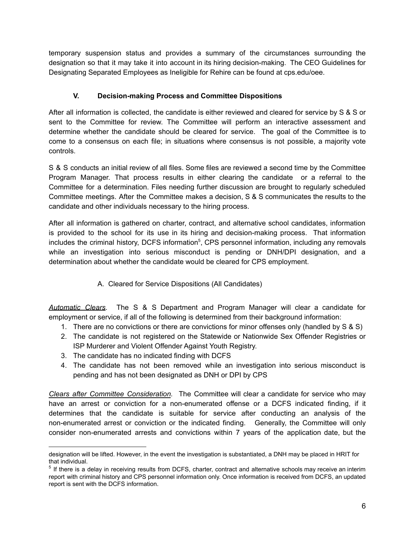temporary suspension status and provides a summary of the circumstances surrounding the designation so that it may take it into account in its hiring decision-making. The CEO Guidelines for Designating Separated Employees as Ineligible for Rehire can be found at cps.edu/oee.

# **V. Decision-making Process and Committee Dispositions**

<span id="page-5-0"></span>After all information is collected, the candidate is either reviewed and cleared for service by S & S or sent to the Committee for review. The Committee will perform an interactive assessment and determine whether the candidate should be cleared for service. The goal of the Committee is to come to a consensus on each file; in situations where consensus is not possible, a majority vote controls.

S & S conducts an initial review of all files. Some files are reviewed a second time by the Committee Program Manager. That process results in either clearing the candidate or a referral to the Committee for a determination. Files needing further discussion are brought to regularly scheduled Committee meetings. After the Committee makes a decision, S & S communicates the results to the candidate and other individuals necessary to the hiring process.

After all information is gathered on charter, contract, and alternative school candidates, information is provided to the school for its use in its hiring and decision-making process. That information includes the criminal history, DCFS information<sup>5</sup>, CPS personnel information, including any removals while an investigation into serious misconduct is pending or DNH/DPI designation, and a determination about whether the candidate would be cleared for CPS employment.

A. Cleared for Service Dispositions (All Candidates)

<span id="page-5-1"></span>*Automatic Clears*. The S & S Department and Program Manager will clear a candidate for employment or service, if all of the following is determined from their background information:

- 1. There are no convictions or there are convictions for minor offenses only (handled by S & S)
- 2. The candidate is not registered on the Statewide or Nationwide Sex Offender Registries or ISP Murderer and Violent Offender Against Youth Registry.
- 3. The candidate has no indicated finding with DCFS
- 4. The candidate has not been removed while an investigation into serious misconduct is pending and has not been designated as DNH or DPI by CPS

*Clears after Committee Consideration.* The Committee will clear a candidate for service who may have an arrest or conviction for a non-enumerated offense or a DCFS indicated finding, if it determines that the candidate is suitable for service after conducting an analysis of the non-enumerated arrest or conviction or the indicated finding. Generally, the Committee will only consider non-enumerated arrests and convictions within 7 years of the application date, but the

designation will be lifted. However, in the event the investigation is substantiated, a DNH may be placed in HRIT for that individual.

<sup>&</sup>lt;sup>5</sup> If there is a delay in receiving results from DCFS, charter, contract and alternative schools may receive an interim report with criminal history and CPS personnel information only. Once information is received from DCFS, an updated report is sent with the DCFS information.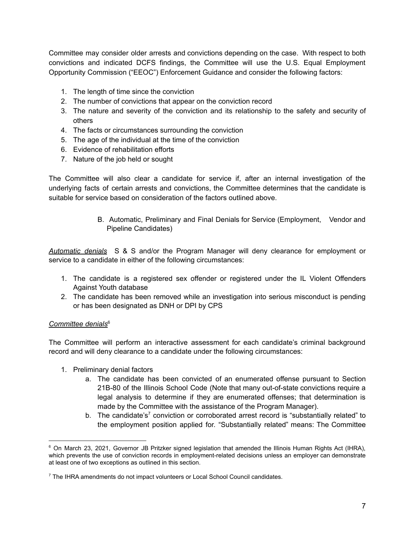Committee may consider older arrests and convictions depending on the case. With respect to both convictions and indicated DCFS findings, the Committee will use the U.S. Equal Employment Opportunity Commission ("EEOC") Enforcement Guidance and consider the following factors:

- 1. The length of time since the conviction
- 2. The number of convictions that appear on the conviction record
- 3. The nature and severity of the conviction and its relationship to the safety and security of others
- 4. The facts or circumstances surrounding the conviction
- 5. The age of the individual at the time of the conviction
- 6. Evidence of rehabilitation efforts
- 7. Nature of the job held or sought

The Committee will also clear a candidate for service if, after an internal investigation of the underlying facts of certain arrests and convictions, the Committee determines that the candidate is suitable for service based on consideration of the factors outlined above.

> B. Automatic, Preliminary and Final Denials for Service (Employment, Vendor and Pipeline Candidates)

<span id="page-6-0"></span>*Automatic denials* S & S and/or the Program Manager will deny clearance for employment or service to a candidate in either of the following circumstances:

- 1. The candidate is a registered sex offender or registered under the IL Violent Offenders Against Youth database
- 2. The candidate has been removed while an investigation into serious misconduct is pending or has been designated as DNH or DPI by CPS

#### *Committee denials*<sup>6</sup>

The Committee will perform an interactive assessment for each candidate's criminal background record and will deny clearance to a candidate under the following circumstances:

- 1. Preliminary denial factors
	- a. The candidate has been convicted of an enumerated offense pursuant to Section 21B-80 of the Illinois School Code (Note that many out-of-state convictions require a legal analysis to determine if they are enumerated offenses; that determination is made by the Committee with the assistance of the Program Manager).
	- b. The candidate's<sup>7</sup> conviction or corroborated arrest record is "substantially related" to the employment position applied for. "Substantially related" means: The Committee

<sup>&</sup>lt;sup>6</sup> On March 23, 2021, Governor JB Pritzker signed legislation that amended the Illinois Human Rights Act (IHRA), which prevents the use of conviction records in employment-related decisions unless an employer can demonstrate at least one of two exceptions as outlined in this section.

<sup>&</sup>lt;sup>7</sup> The IHRA amendments do not impact volunteers or Local School Council candidates.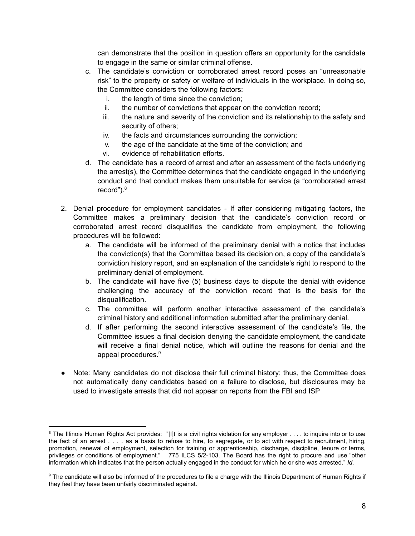can demonstrate that the position in question offers an opportunity for the candidate to engage in the same or similar criminal offense.

- c. The candidate's conviction or corroborated arrest record poses an "unreasonable risk" to the property or safety or welfare of individuals in the workplace. In doing so, the Committee considers the following factors:
	- i. the length of time since the conviction;
	- ii. the number of convictions that appear on the conviction record;
	- iii. the nature and severity of the conviction and its relationship to the safety and security of others;
	- iv. the facts and circumstances surrounding the conviction;
	- v. the age of the candidate at the time of the conviction; and
	- vi. evidence of rehabilitation efforts.
- d. The candidate has a record of arrest and after an assessment of the facts underlying the arrest(s), the Committee determines that the candidate engaged in the underlying conduct and that conduct makes them unsuitable for service (a "corroborated arrest record").<sup>8</sup>
- 2. Denial procedure for employment candidates If after considering mitigating factors, the Committee makes a preliminary decision that the candidate's conviction record or corroborated arrest record disqualifies the candidate from employment, the following procedures will be followed:
	- a. The candidate will be informed of the preliminary denial with a notice that includes the conviction(s) that the Committee based its decision on, a copy of the candidate's conviction history report, and an explanation of the candidate's right to respond to the preliminary denial of employment.
	- b. The candidate will have five (5) business days to dispute the denial with evidence challenging the accuracy of the conviction record that is the basis for the disqualification.
	- c. The committee will perform another interactive assessment of the candidate's criminal history and additional information submitted after the preliminary denial.
	- d. If after performing the second interactive assessment of the candidate's file, the Committee issues a final decision denying the candidate employment, the candidate will receive a final denial notice, which will outline the reasons for denial and the appeal procedures.<sup>9</sup>
- Note: Many candidates do not disclose their full criminal history; thus, the Committee does not automatically deny candidates based on a failure to disclose, but disclosures may be used to investigate arrests that did not appear on reports from the FBI and ISP

<sup>&</sup>lt;sup>8</sup> The Illinois Human Rights Act provides: "[I]t is a civil rights violation for any employer . . . to inquire into or to use the fact of an arrest . . . . as a basis to refuse to hire, to segregate, or to act with respect to recruitment, hiring, promotion, renewal of employment, selection for training or apprenticeship, discharge, discipline, tenure or terms, privileges or conditions of employment." 775 ILCS 5/2-103. The Board has the right to procure and use "other information which indicates that the person actually engaged in the conduct for which he or she was arrested." *Id*.

<sup>&</sup>lt;sup>9</sup> The candidate will also be informed of the procedures to file a charge with the Illinois Department of Human Rights if they feel they have been unfairly discriminated against.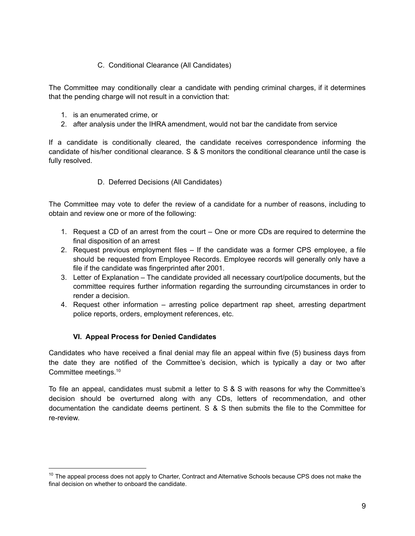#### C. Conditional Clearance (All Candidates)

<span id="page-8-0"></span>The Committee may conditionally clear a candidate with pending criminal charges, if it determines that the pending charge will not result in a conviction that:

- 1. is an enumerated crime, or
- 2. after analysis under the IHRA amendment, would not bar the candidate from service

<span id="page-8-1"></span>If a candidate is conditionally cleared, the candidate receives correspondence informing the candidate of his/her conditional clearance. S & S monitors the conditional clearance until the case is fully resolved.

#### D. Deferred Decisions (All Candidates)

The Committee may vote to defer the review of a candidate for a number of reasons, including to obtain and review one or more of the following:

- 1. Request a CD of an arrest from the court One or more CDs are required to determine the final disposition of an arrest
- 2. Request previous employment files If the candidate was a former CPS employee, a file should be requested from Employee Records. Employee records will generally only have a file if the candidate was fingerprinted after 2001.
- 3. Letter of Explanation The candidate provided all necessary court/police documents, but the committee requires further information regarding the surrounding circumstances in order to render a decision.
- <span id="page-8-2"></span>4. Request other information – arresting police department rap sheet, arresting department police reports, orders, employment references, etc.

# **VI. Appeal Process for Denied Candidates**

Candidates who have received a final denial may file an appeal within five (5) business days from the date they are notified of the Committee's decision, which is typically a day or two after Committee meetings.<sup>10</sup>

To file an appeal, candidates must submit a letter to S & S with reasons for why the Committee's decision should be overturned along with any CDs, letters of recommendation, and other documentation the candidate deems pertinent. S & S then submits the file to the Committee for re-review.

 $10$  The appeal process does not apply to Charter, Contract and Alternative Schools because CPS does not make the final decision on whether to onboard the candidate.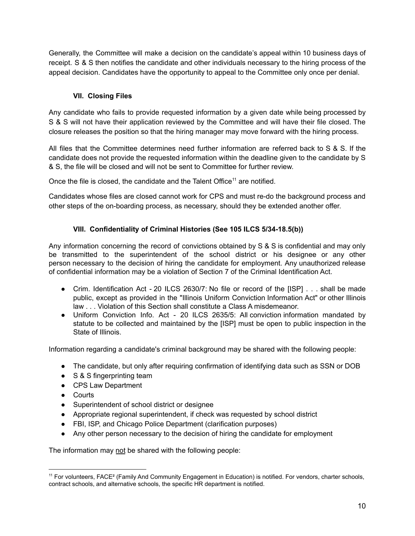Generally, the Committee will make a decision on the candidate's appeal within 10 business days of receipt. S & S then notifies the candidate and other individuals necessary to the hiring process of the appeal decision. Candidates have the opportunity to appeal to the Committee only once per denial.

# **VII. Closing Files**

<span id="page-9-0"></span>Any candidate who fails to provide requested information by a given date while being processed by S & S will not have their application reviewed by the Committee and will have their file closed. The closure releases the position so that the hiring manager may move forward with the hiring process.

All files that the Committee determines need further information are referred back to S & S. If the candidate does not provide the requested information within the deadline given to the candidate by S & S, the file will be closed and will not be sent to Committee for further review.

Once the file is closed, the candidate and the Talent Office<sup>11</sup> are notified.

Candidates whose files are closed cannot work for CPS and must re-do the background process and other steps of the on-boarding process, as necessary, should they be extended another offer.

# **VIII. Confidentiality of Criminal Histories (See 105 ILCS 5/34-18.5(b))**

<span id="page-9-1"></span>Any information concerning the record of convictions obtained by S & S is confidential and may only be transmitted to the superintendent of the school district or his designee or any other person necessary to the decision of hiring the candidate for employment. Any unauthorized release of confidential information may be a violation of Section 7 of the Criminal Identification Act.

- Crim. Identification Act 20 ILCS 2630/7: No file or record of the [ISP] . . . shall be made public, except as provided in the "Illinois Uniform Conviction Information Act" or other Illinois law . . . Violation of this Section shall constitute a Class A misdemeanor.
- Uniform Conviction Info. Act 20 ILCS 2635/5: All conviction information mandated by statute to be collected and maintained by the [ISP] must be open to public inspection in the State of Illinois.

Information regarding a candidate's criminal background may be shared with the following people:

- The candidate, but only after requiring confirmation of identifying data such as SSN or DOB
- S & S fingerprinting team
- CPS Law Department
- Courts
- Superintendent of school district or designee
- Appropriate regional superintendent, if check was requested by school district
- FBI, ISP, and Chicago Police Department (clarification purposes)
- Any other person necessary to the decision of hiring the candidate for employment

The information may not be shared with the following people:

<sup>11</sup> For volunteers, FACE² (Family And Community Engagement in Education) is notified. For vendors, charter schools, contract schools, and alternative schools, the specific HR department is notified.